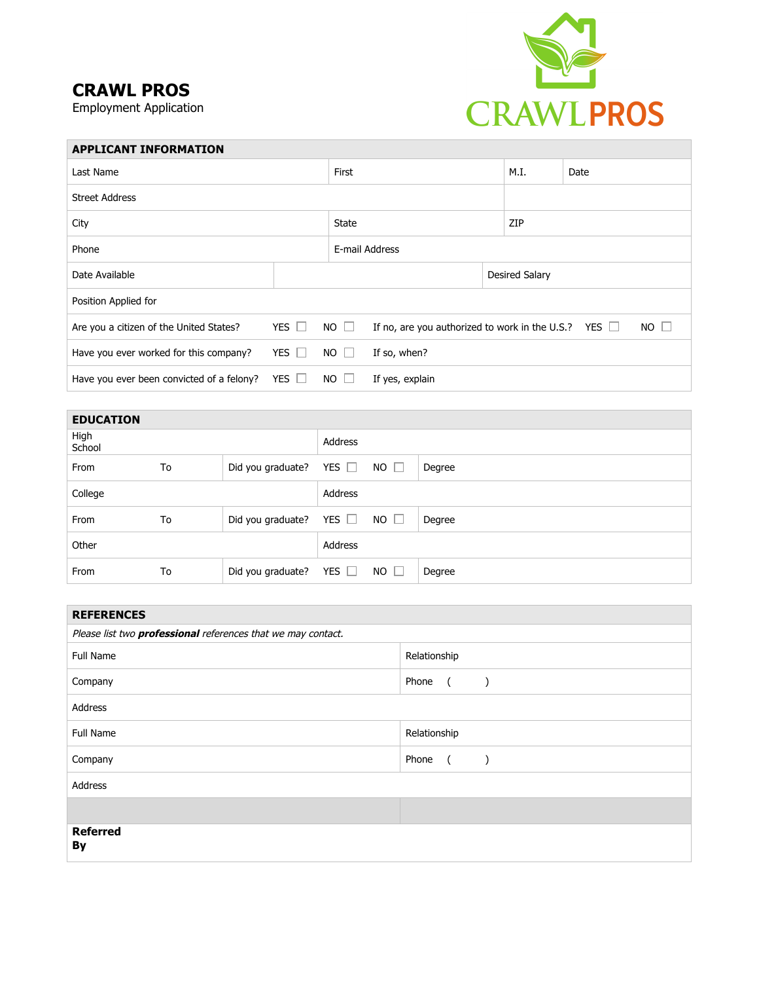## **CRAWL PROS**

Employment Application



| <b>APPLICANT INFORMATION</b>              |                            |              |                                                           |                |             |
|-------------------------------------------|----------------------------|--------------|-----------------------------------------------------------|----------------|-------------|
| Last Name                                 |                            | First        |                                                           | M.I.           | Date        |
| <b>Street Address</b>                     |                            |              |                                                           |                |             |
| City                                      |                            | <b>State</b> |                                                           | ZIP            |             |
| Phone                                     |                            |              | E-mail Address                                            |                |             |
| Date Available                            |                            |              |                                                           | Desired Salary |             |
| Position Applied for                      |                            |              |                                                           |                |             |
| Are you a citizen of the United States?   | YES $\Box$                 | $NO \Box$    | If no, are you authorized to work in the U.S.? YES $\Box$ |                | $NO$ $\Box$ |
| Have you ever worked for this company?    | YES $\Box$                 | $NO \Box$    | If so, when?                                              |                |             |
| Have you ever been convicted of a felony? | <b>YES</b><br>$\mathbf{I}$ | $NO$ $\Box$  | If yes, explain                                           |                |             |

| <b>EDUCATION</b> |    |                   |            |             |        |
|------------------|----|-------------------|------------|-------------|--------|
| High<br>School   |    |                   | Address    |             |        |
| From             | To | Did you graduate? | YES $\Box$ | $NO$ $\Box$ | Degree |
| College          |    |                   | Address    |             |        |
| From             | To | Did you graduate? | YES $\Box$ | $NO$ $\Box$ | Degree |
| Other            |    |                   | Address    |             |        |
| From             | To | Did you graduate? | YES $\Box$ | $NO$ $\Box$ | Degree |

| <b>REFERENCES</b>                                                   |                                          |  |  |  |  |
|---------------------------------------------------------------------|------------------------------------------|--|--|--|--|
| Please list two <i>professional</i> references that we may contact. |                                          |  |  |  |  |
| <b>Full Name</b>                                                    | Relationship                             |  |  |  |  |
| Company                                                             | Phone<br>$\sqrt{2}$<br>$\rightarrow$     |  |  |  |  |
| Address                                                             |                                          |  |  |  |  |
| <b>Full Name</b>                                                    | Relationship                             |  |  |  |  |
| Company                                                             | Phone<br>$\overline{a}$<br>$\rightarrow$ |  |  |  |  |
| Address                                                             |                                          |  |  |  |  |
|                                                                     |                                          |  |  |  |  |
| <b>Referred</b><br>By                                               |                                          |  |  |  |  |